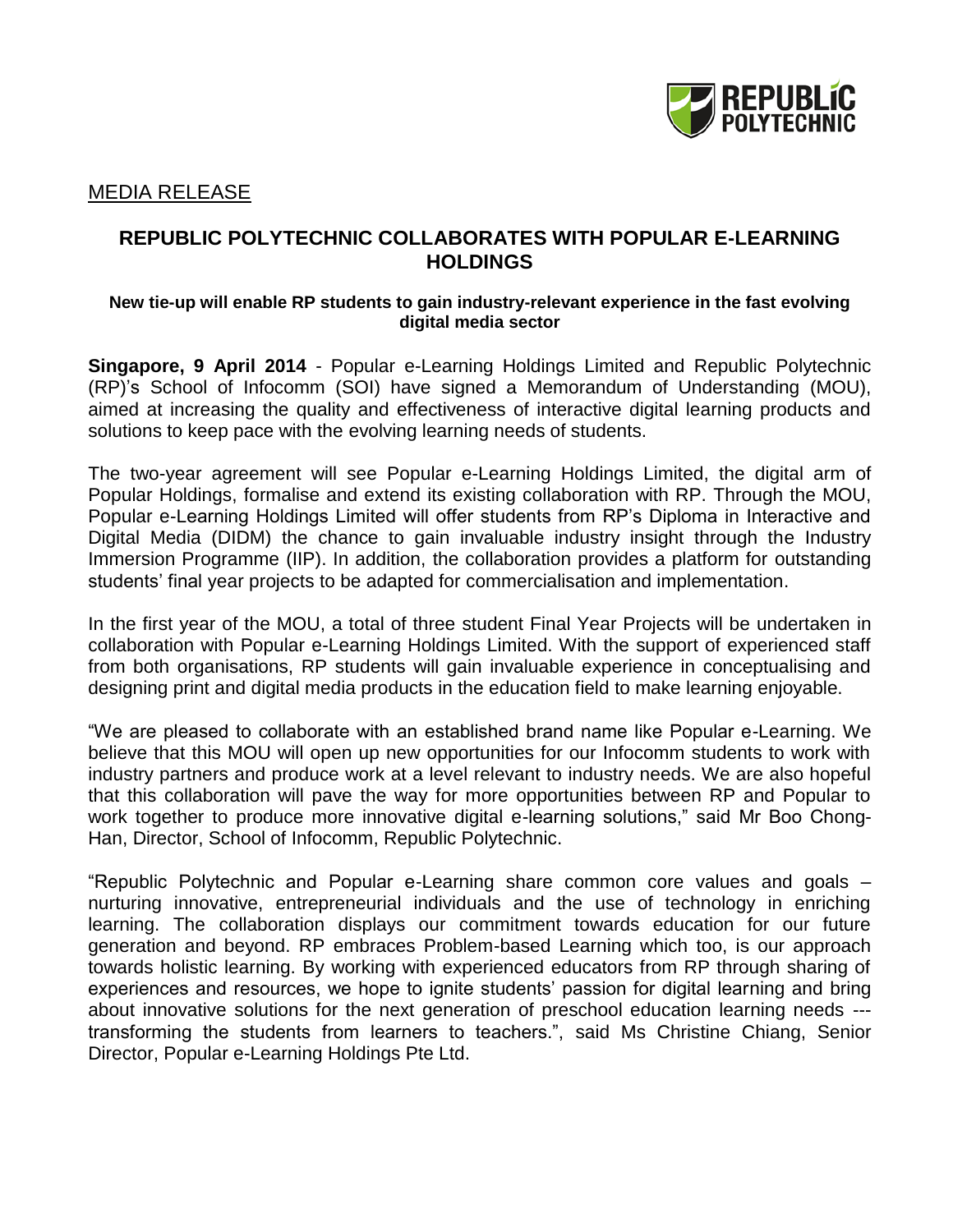

## MEDIA RELEASE

# **REPUBLIC POLYTECHNIC COLLABORATES WITH POPULAR E-LEARNING HOLDINGS**

#### **New tie-up will enable RP students to gain industry-relevant experience in the fast evolving digital media sector**

**Singapore, 9 April 2014** - Popular e-Learning Holdings Limited and Republic Polytechnic (RP)'s School of Infocomm (SOI) have signed a Memorandum of Understanding (MOU), aimed at increasing the quality and effectiveness of interactive digital learning products and solutions to keep pace with the evolving learning needs of students.

The two-year agreement will see Popular e-Learning Holdings Limited, the digital arm of Popular Holdings, formalise and extend its existing collaboration with RP. Through the MOU, Popular e-Learning Holdings Limited will offer students from RP's Diploma in Interactive and Digital Media (DIDM) the chance to gain invaluable industry insight through the Industry Immersion Programme (IIP). In addition, the collaboration provides a platform for outstanding students' final year projects to be adapted for commercialisation and implementation.

In the first year of the MOU, a total of three student Final Year Projects will be undertaken in collaboration with Popular e-Learning Holdings Limited. With the support of experienced staff from both organisations, RP students will gain invaluable experience in conceptualising and designing print and digital media products in the education field to make learning enjoyable.

"We are pleased to collaborate with an established brand name like Popular e-Learning. We believe that this MOU will open up new opportunities for our Infocomm students to work with industry partners and produce work at a level relevant to industry needs. We are also hopeful that this collaboration will pave the way for more opportunities between RP and Popular to work together to produce more innovative digital e-learning solutions," said Mr Boo Chong-Han, Director, School of Infocomm, Republic Polytechnic.

"Republic Polytechnic and Popular e-Learning share common core values and goals – nurturing innovative, entrepreneurial individuals and the use of technology in enriching learning. The collaboration displays our commitment towards education for our future generation and beyond. RP embraces Problem-based Learning which too, is our approach towards holistic learning. By working with experienced educators from RP through sharing of experiences and resources, we hope to ignite students' passion for digital learning and bring about innovative solutions for the next generation of preschool education learning needs -- transforming the students from learners to teachers.", said Ms Christine Chiang, Senior Director, Popular e-Learning Holdings Pte Ltd.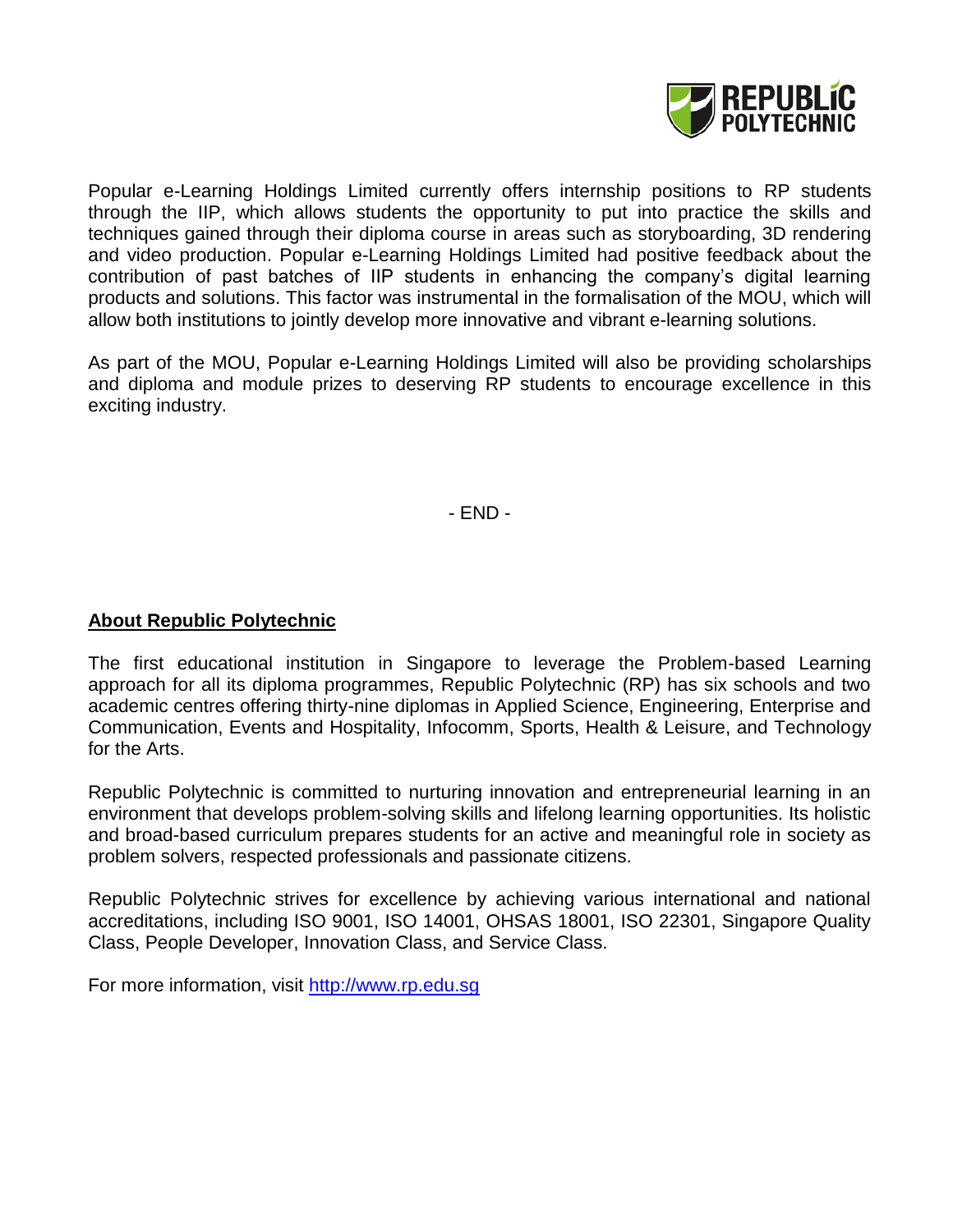

Popular e-Learning Holdings Limited currently offers internship positions to RP students through the IIP, which allows students the opportunity to put into practice the skills and techniques gained through their diploma course in areas such as storyboarding, 3D rendering and video production. Popular e-Learning Holdings Limited had positive feedback about the contribution of past batches of IIP students in enhancing the company's digital learning products and solutions. This factor was instrumental in the formalisation of the MOU, which will allow both institutions to jointly develop more innovative and vibrant e-learning solutions.

As part of the MOU, Popular e-Learning Holdings Limited will also be providing scholarships and diploma and module prizes to deserving RP students to encourage excellence in this exciting industry.

- END -

# **About Republic Polytechnic**

The first educational institution in Singapore to leverage the Problem-based Learning approach for all its diploma programmes, Republic Polytechnic (RP) has six schools and two academic centres offering thirty-nine diplomas in Applied Science, Engineering, Enterprise and Communication, Events and Hospitality, Infocomm, Sports, Health & Leisure, and Technology for the Arts.

Republic Polytechnic is committed to nurturing innovation and entrepreneurial learning in an environment that develops problem-solving skills and lifelong learning opportunities. Its holistic and broad-based curriculum prepares students for an active and meaningful role in society as problem solvers, respected professionals and passionate citizens.

Republic Polytechnic strives for excellence by achieving various international and national accreditations, including ISO 9001, ISO 14001, OHSAS 18001, ISO 22301, Singapore Quality Class, People Developer, Innovation Class, and Service Class.

For more information, visit [http://www.rp.edu.sg](http://www.rp.edu.sg/)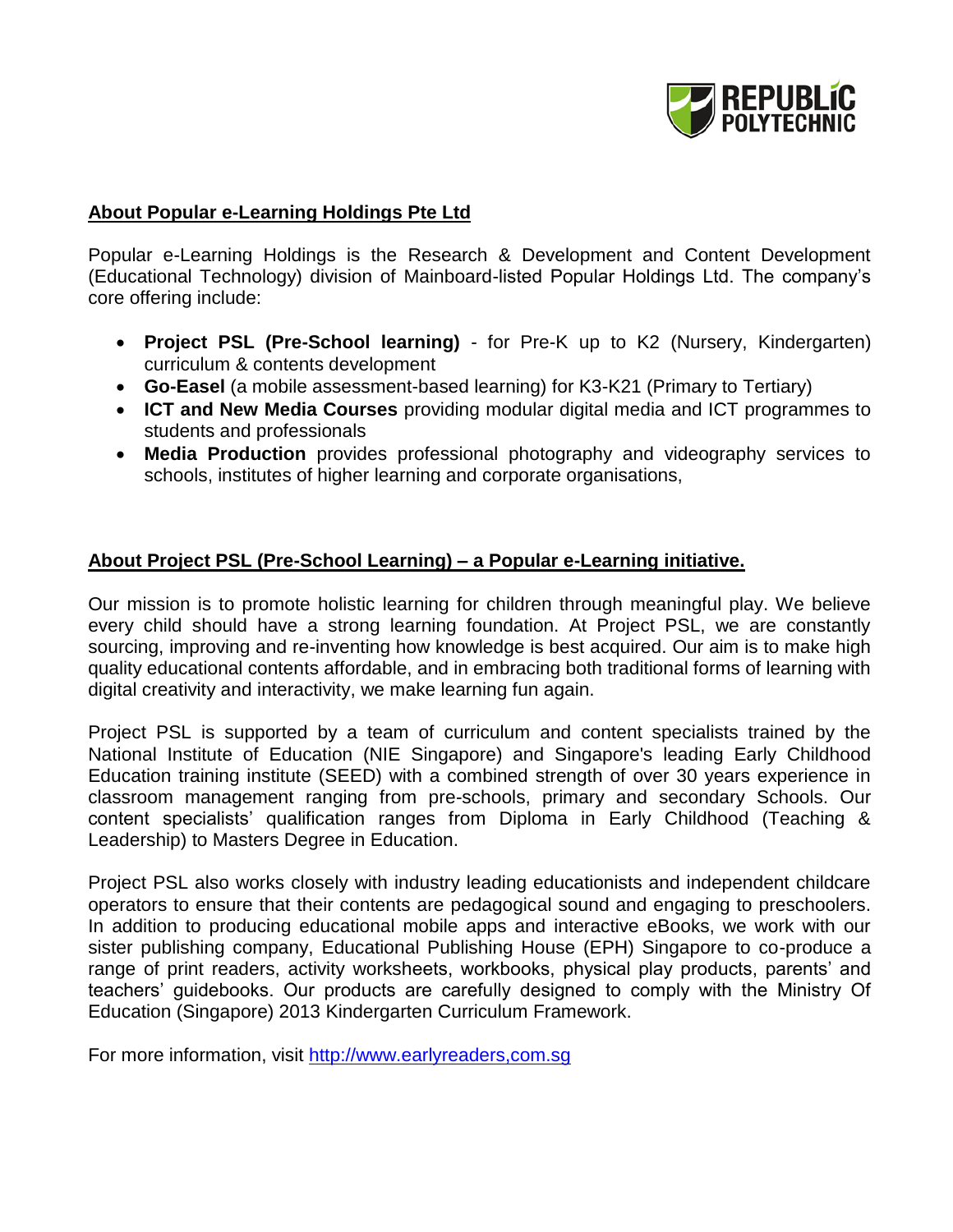

## **About Popular e-Learning Holdings Pte Ltd**

Popular e-Learning Holdings is the Research & Development and Content Development (Educational Technology) division of Mainboard-listed Popular Holdings Ltd. The company's core offering include:

- **Project PSL (Pre-School learning)** for Pre-K up to K2 (Nursery, Kindergarten) curriculum & contents development
- **Go-Easel** (a mobile assessment-based learning) for K3-K21 (Primary to Tertiary)
- **ICT and New Media Courses** providing modular digital media and ICT programmes to students and professionals
- **Media Production** provides professional photography and videography services to schools, institutes of higher learning and corporate organisations,

## **About Project PSL (Pre-School Learning) – a Popular e-Learning initiative.**

Our mission is to promote holistic learning for children through meaningful play. We believe every child should have a strong learning foundation. At Project PSL, we are constantly sourcing, improving and re-inventing how knowledge is best acquired. Our aim is to make high quality educational contents affordable, and in embracing both traditional forms of learning with digital creativity and interactivity, we make learning fun again.

Project PSL is supported by a team of curriculum and content specialists trained by the National Institute of Education (NIE Singapore) and Singapore's leading Early Childhood Education training institute (SEED) with a combined strength of over 30 years experience in classroom management ranging from pre-schools, primary and secondary Schools. Our content specialists' qualification ranges from Diploma in Early Childhood (Teaching & Leadership) to Masters Degree in Education.

Project PSL also works closely with industry leading educationists and independent childcare operators to ensure that their contents are pedagogical sound and engaging to preschoolers. In addition to producing educational mobile apps and interactive eBooks, we work with our sister publishing company, Educational Publishing House (EPH) Singapore to co-produce a range of print readers, activity worksheets, workbooks, physical play products, parents' and teachers' guidebooks. Our products are carefully designed to comply with the Ministry Of Education (Singapore) 2013 Kindergarten Curriculum Framework.

For more information, visit [http://www.earlyreaders,com.sg](http://www.rp.edu.sg/)